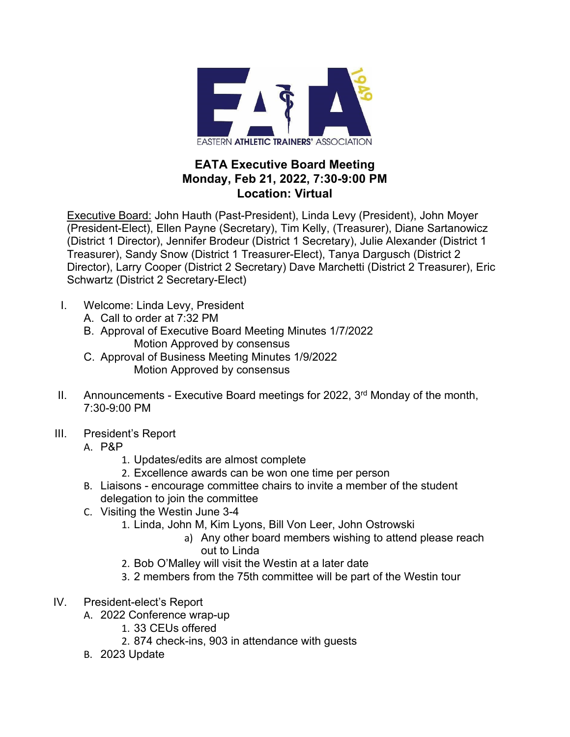

## **EATA Executive Board Meeting Monday, Feb 21, 2022, 7:30-9:00 PM Location: Virtual**

Executive Board: John Hauth (Past-President), Linda Levy (President), John Moyer (President-Elect), Ellen Payne (Secretary), Tim Kelly, (Treasurer), Diane Sartanowicz (District 1 Director), Jennifer Brodeur (District 1 Secretary), Julie Alexander (District 1 Treasurer), Sandy Snow (District 1 Treasurer-Elect), Tanya Dargusch (District 2 Director), Larry Cooper (District 2 Secretary) Dave Marchetti (District 2 Treasurer), Eric Schwartz (District 2 Secretary-Elect)

- I. Welcome: Linda Levy, President
	- A. Call to order at 7:32 PM
	- B. Approval of Executive Board Meeting Minutes 1/7/2022 Motion Approved by consensus
	- C. Approval of Business Meeting Minutes 1/9/2022 Motion Approved by consensus
- II. Announcements Executive Board meetings for 2022,  $3<sup>rd</sup>$  Monday of the month, 7:30-9:00 PM
- III. President's Report
	- A. P&P
		- 1. Updates/edits are almost complete
		- 2. Excellence awards can be won one time per person
	- B. Liaisons encourage committee chairs to invite a member of the student delegation to join the committee
	- C. Visiting the Westin June 3-4
		- 1. Linda, John M, Kim Lyons, Bill Von Leer, John Ostrowski
			- a) Any other board members wishing to attend please reach out to Linda
		- 2. Bob O'Malley will visit the Westin at a later date
		- 3. 2 members from the 75th committee will be part of the Westin tour
- IV. President-elect's Report
	- A. 2022 Conference wrap-up
		- 1. 33 CEUs offered
		- 2. 874 check-ins, 903 in attendance with guests
	- B. 2023 Update